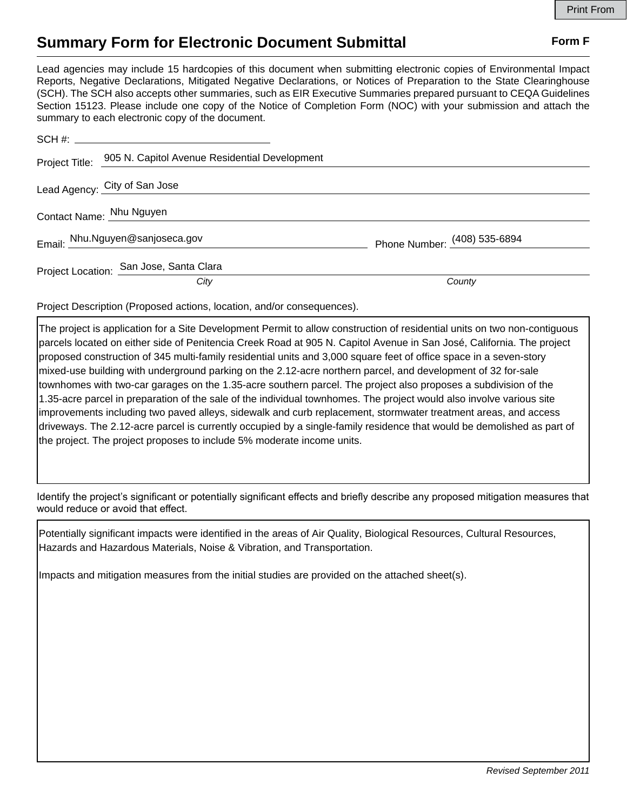## **Summary Form for Electronic Document Submittal Form F Form F**

Lead agencies may include 15 hardcopies of this document when submitting electronic copies of Environmental Impact Reports, Negative Declarations, Mitigated Negative Declarations, or Notices of Preparation to the State Clearinghouse (SCH). The SCH also accepts other summaries, such as EIR Executive Summaries prepared pursuant to CEQA Guidelines Section 15123. Please include one copy of the Notice of Completion Form (NOC) with your submission and attach the summary to each electronic copy of the document.

|                          | Project Title: 905 N. Capitol Avenue Residential Development |                              |
|--------------------------|--------------------------------------------------------------|------------------------------|
|                          | Lead Agency: City of San Jose                                |                              |
| Contact Name: Nhu Nguyen |                                                              |                              |
|                          | Email: Nhu.Nguyen@sanjoseca.gov                              | Phone Number: (408) 535-6894 |
|                          | Project Location: San Jose, Santa Clara                      |                              |
|                          | City                                                         | County                       |

Project Description (Proposed actions, location, and/or consequences).

The project is application for a Site Development Permit to allow construction of residential units on two non-contiguous parcels located on either side of Penitencia Creek Road at 905 N. Capitol Avenue in San José, California. The project proposed construction of 345 multi-family residential units and 3,000 square feet of office space in a seven-story mixed-use building with underground parking on the 2.12-acre northern parcel, and development of 32 for-sale townhomes with two-car garages on the 1.35-acre southern parcel. The project also proposes a subdivision of the 1.35-acre parcel in preparation of the sale of the individual townhomes. The project would also involve various site improvements including two paved alleys, sidewalk and curb replacement, stormwater treatment areas, and access driveways. The 2.12-acre parcel is currently occupied by a single-family residence that would be demolished as part of the project. The project proposes to include 5% moderate income units.

Identify the project's significant or potentially significant effects and briefly describe any proposed mitigation measures that would reduce or avoid that effect.

Potentially significant impacts were identified in the areas of Air Quality, Biological Resources, Cultural Resources, Hazards and Hazardous Materials, Noise & Vibration, and Transportation.

Impacts and mitigation measures from the initial studies are provided on the attached sheet(s).